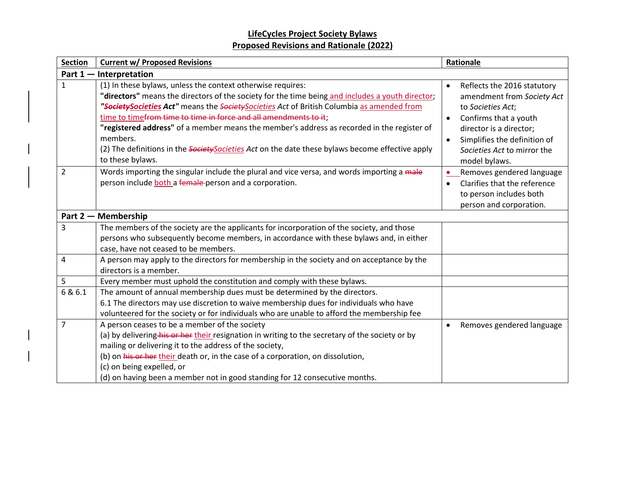| <b>Section</b> | <b>Current w/ Proposed Revisions</b>                                                                                                                                                                                                                                                                                                                                                                                                                                                                                                                                                     | Rationale                                                                                                                                                                                                                       |  |  |  |  |
|----------------|------------------------------------------------------------------------------------------------------------------------------------------------------------------------------------------------------------------------------------------------------------------------------------------------------------------------------------------------------------------------------------------------------------------------------------------------------------------------------------------------------------------------------------------------------------------------------------------|---------------------------------------------------------------------------------------------------------------------------------------------------------------------------------------------------------------------------------|--|--|--|--|
|                | Part 1 - Interpretation                                                                                                                                                                                                                                                                                                                                                                                                                                                                                                                                                                  |                                                                                                                                                                                                                                 |  |  |  |  |
| $\mathbf 1$    | (1) In these bylaws, unless the context otherwise requires:<br>"directors" means the directors of the society for the time being and includes a youth director;<br>"Society Societies Act" means the Society Societies Act of British Columbia as amended from<br>time to time <del>from time to time in force and all amendments to it</del> ;<br>"registered address" of a member means the member's address as recorded in the register of<br>members.<br>(2) The definitions in the <i>Society Societies Act</i> on the date these bylaws become effective apply<br>to these bylaws. | Reflects the 2016 statutory<br>amendment from Society Act<br>to Societies Act;<br>Confirms that a youth<br>$\bullet$<br>director is a director;<br>Simplifies the definition of<br>Societies Act to mirror the<br>model bylaws. |  |  |  |  |
| $\overline{2}$ | Words importing the singular include the plural and vice versa, and words importing a male<br>person include both a female person and a corporation.                                                                                                                                                                                                                                                                                                                                                                                                                                     | Removes gendered language<br>Clarifies that the reference<br>to person includes both<br>person and corporation.                                                                                                                 |  |  |  |  |
|                | Part 2 – Membership                                                                                                                                                                                                                                                                                                                                                                                                                                                                                                                                                                      |                                                                                                                                                                                                                                 |  |  |  |  |
| 3              | The members of the society are the applicants for incorporation of the society, and those<br>persons who subsequently become members, in accordance with these bylaws and, in either<br>case, have not ceased to be members.                                                                                                                                                                                                                                                                                                                                                             |                                                                                                                                                                                                                                 |  |  |  |  |
| 4              | A person may apply to the directors for membership in the society and on acceptance by the<br>directors is a member.                                                                                                                                                                                                                                                                                                                                                                                                                                                                     |                                                                                                                                                                                                                                 |  |  |  |  |
| 5              | Every member must uphold the constitution and comply with these bylaws.                                                                                                                                                                                                                                                                                                                                                                                                                                                                                                                  |                                                                                                                                                                                                                                 |  |  |  |  |
| 6 & 6.1        | The amount of annual membership dues must be determined by the directors.<br>6.1 The directors may use discretion to waive membership dues for individuals who have<br>volunteered for the society or for individuals who are unable to afford the membership fee                                                                                                                                                                                                                                                                                                                        |                                                                                                                                                                                                                                 |  |  |  |  |
| $\overline{7}$ | A person ceases to be a member of the society<br>(a) by delivering his or her their resignation in writing to the secretary of the society or by<br>mailing or delivering it to the address of the society,<br>(b) on his or her their death or, in the case of a corporation, on dissolution,<br>(c) on being expelled, or<br>(d) on having been a member not in good standing for 12 consecutive months.                                                                                                                                                                               | Removes gendered language                                                                                                                                                                                                       |  |  |  |  |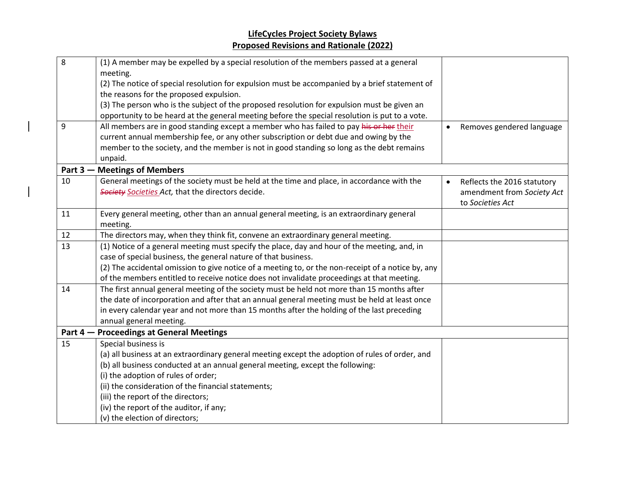| 8  | (1) A member may be expelled by a special resolution of the members passed at a general            |                             |
|----|----------------------------------------------------------------------------------------------------|-----------------------------|
|    | meeting.                                                                                           |                             |
|    | (2) The notice of special resolution for expulsion must be accompanied by a brief statement of     |                             |
|    | the reasons for the proposed expulsion.                                                            |                             |
|    | (3) The person who is the subject of the proposed resolution for expulsion must be given an        |                             |
|    | opportunity to be heard at the general meeting before the special resolution is put to a vote.     |                             |
| 9  | All members are in good standing except a member who has failed to pay his or her their            | Removes gendered language   |
|    | current annual membership fee, or any other subscription or debt due and owing by the              |                             |
|    | member to the society, and the member is not in good standing so long as the debt remains          |                             |
|    | unpaid.                                                                                            |                             |
|    | Part 3 – Meetings of Members                                                                       |                             |
| 10 | General meetings of the society must be held at the time and place, in accordance with the         | Reflects the 2016 statutory |
|    | Society Societies Act, that the directors decide.                                                  | amendment from Society Act  |
|    |                                                                                                    | to Societies Act            |
| 11 | Every general meeting, other than an annual general meeting, is an extraordinary general           |                             |
|    | meeting.                                                                                           |                             |
| 12 | The directors may, when they think fit, convene an extraordinary general meeting.                  |                             |
| 13 | (1) Notice of a general meeting must specify the place, day and hour of the meeting, and, in       |                             |
|    | case of special business, the general nature of that business.                                     |                             |
|    | (2) The accidental omission to give notice of a meeting to, or the non-receipt of a notice by, any |                             |
|    | of the members entitled to receive notice does not invalidate proceedings at that meeting.         |                             |
| 14 | The first annual general meeting of the society must be held not more than 15 months after         |                             |
|    | the date of incorporation and after that an annual general meeting must be held at least once      |                             |
|    | in every calendar year and not more than 15 months after the holding of the last preceding         |                             |
|    | annual general meeting.                                                                            |                             |
|    | Part 4 – Proceedings at General Meetings                                                           |                             |
| 15 | Special business is                                                                                |                             |
|    | (a) all business at an extraordinary general meeting except the adoption of rules of order, and    |                             |
|    | (b) all business conducted at an annual general meeting, except the following:                     |                             |
|    | (i) the adoption of rules of order;                                                                |                             |
|    | (ii) the consideration of the financial statements;                                                |                             |
|    | (iii) the report of the directors;                                                                 |                             |
|    | (iv) the report of the auditor, if any;                                                            |                             |
|    | (v) the election of directors;                                                                     |                             |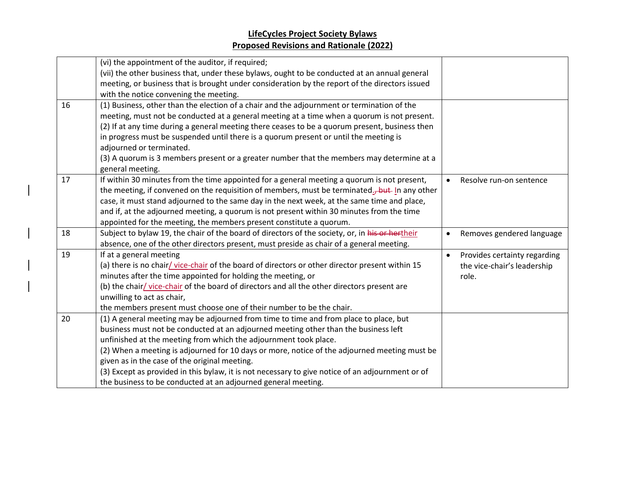|    | (vi) the appointment of the auditor, if required;                                                           |           |                              |
|----|-------------------------------------------------------------------------------------------------------------|-----------|------------------------------|
|    | (vii) the other business that, under these bylaws, ought to be conducted at an annual general               |           |                              |
|    | meeting, or business that is brought under consideration by the report of the directors issued              |           |                              |
|    | with the notice convening the meeting.                                                                      |           |                              |
| 16 | (1) Business, other than the election of a chair and the adjournment or termination of the                  |           |                              |
|    | meeting, must not be conducted at a general meeting at a time when a quorum is not present.                 |           |                              |
|    | (2) If at any time during a general meeting there ceases to be a quorum present, business then              |           |                              |
|    | in progress must be suspended until there is a quorum present or until the meeting is                       |           |                              |
|    | adjourned or terminated.                                                                                    |           |                              |
|    | (3) A quorum is 3 members present or a greater number that the members may determine at a                   |           |                              |
|    | general meeting.                                                                                            |           |                              |
| 17 | If within 30 minutes from the time appointed for a general meeting a quorum is not present,                 | $\bullet$ | Resolve run-on sentence      |
|    | the meeting, if convened on the requisition of members, must be terminated. <sub>J</sub> -but- In any other |           |                              |
|    | case, it must stand adjourned to the same day in the next week, at the same time and place,                 |           |                              |
|    | and if, at the adjourned meeting, a quorum is not present within 30 minutes from the time                   |           |                              |
|    | appointed for the meeting, the members present constitute a quorum.                                         |           |                              |
| 18 | Subject to bylaw 19, the chair of the board of directors of the society, or, in his or hertheir             | $\bullet$ | Removes gendered language    |
|    | absence, one of the other directors present, must preside as chair of a general meeting.                    |           |                              |
| 19 | If at a general meeting                                                                                     | $\bullet$ | Provides certainty regarding |
|    | (a) there is no chair/vice-chair of the board of directors or other director present within 15              |           | the vice-chair's leadership  |
|    | minutes after the time appointed for holding the meeting, or                                                |           | role.                        |
|    | (b) the chair/vice-chair of the board of directors and all the other directors present are                  |           |                              |
|    | unwilling to act as chair,                                                                                  |           |                              |
|    | the members present must choose one of their number to be the chair.                                        |           |                              |
| 20 | (1) A general meeting may be adjourned from time to time and from place to place, but                       |           |                              |
|    | business must not be conducted at an adjourned meeting other than the business left                         |           |                              |
|    | unfinished at the meeting from which the adjournment took place.                                            |           |                              |
|    | (2) When a meeting is adjourned for 10 days or more, notice of the adjourned meeting must be                |           |                              |
|    | given as in the case of the original meeting.                                                               |           |                              |
|    | (3) Except as provided in this bylaw, it is not necessary to give notice of an adjournment or of            |           |                              |
|    | the business to be conducted at an adjourned general meeting.                                               |           |                              |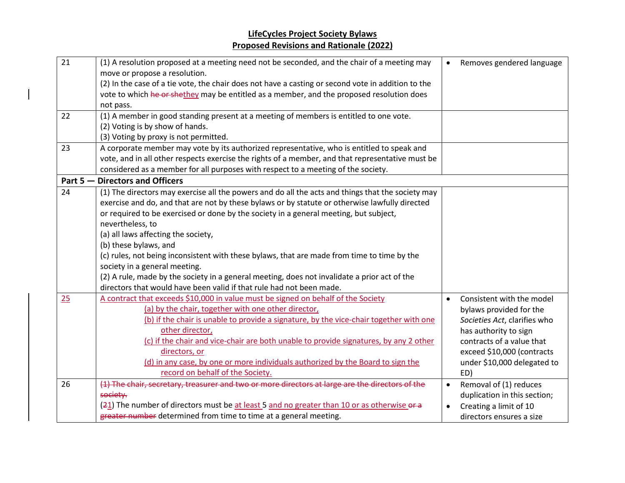| 21 | (1) A resolution proposed at a meeting need not be seconded, and the chair of a meeting may<br>move or propose a resolution. |           | Removes gendered language    |
|----|------------------------------------------------------------------------------------------------------------------------------|-----------|------------------------------|
|    | (2) In the case of a tie vote, the chair does not have a casting or second vote in addition to the                           |           |                              |
|    | vote to which he or shethey may be entitled as a member, and the proposed resolution does                                    |           |                              |
|    | not pass.                                                                                                                    |           |                              |
| 22 | (1) A member in good standing present at a meeting of members is entitled to one vote.                                       |           |                              |
|    | (2) Voting is by show of hands.                                                                                              |           |                              |
|    | (3) Voting by proxy is not permitted.                                                                                        |           |                              |
| 23 | A corporate member may vote by its authorized representative, who is entitled to speak and                                   |           |                              |
|    | vote, and in all other respects exercise the rights of a member, and that representative must be                             |           |                              |
|    | considered as a member for all purposes with respect to a meeting of the society.                                            |           |                              |
|    | Part 5 - Directors and Officers                                                                                              |           |                              |
| 24 | (1) The directors may exercise all the powers and do all the acts and things that the society may                            |           |                              |
|    | exercise and do, and that are not by these bylaws or by statute or otherwise lawfully directed                               |           |                              |
|    | or required to be exercised or done by the society in a general meeting, but subject,                                        |           |                              |
|    | nevertheless, to                                                                                                             |           |                              |
|    | (a) all laws affecting the society,                                                                                          |           |                              |
|    | (b) these bylaws, and                                                                                                        |           |                              |
|    | (c) rules, not being inconsistent with these bylaws, that are made from time to time by the                                  |           |                              |
|    | society in a general meeting.                                                                                                |           |                              |
|    | (2) A rule, made by the society in a general meeting, does not invalidate a prior act of the                                 |           |                              |
|    | directors that would have been valid if that rule had not been made.                                                         |           |                              |
| 25 | A contract that exceeds \$10,000 in value must be signed on behalf of the Society                                            | $\bullet$ | Consistent with the model    |
|    | (a) by the chair, together with one other director,                                                                          |           | bylaws provided for the      |
|    | (b) if the chair is unable to provide a signature, by the vice-chair together with one                                       |           | Societies Act, clarifies who |
|    | other director,                                                                                                              |           | has authority to sign        |
|    | (c) if the chair and vice-chair are both unable to provide signatures, by any 2 other                                        |           | contracts of a value that    |
|    | directors, or                                                                                                                |           | exceed \$10,000 (contracts   |
|    | (d) in any case, by one or more individuals authorized by the Board to sign the                                              |           | under \$10,000 delegated to  |
|    | record on behalf of the Society.                                                                                             |           | ED)                          |
| 26 | (1) The chair, secretary, treasurer and two or more directors at large are the directors of the                              | $\bullet$ | Removal of (1) reduces       |
|    | society.                                                                                                                     |           | duplication in this section; |
|    | (21) The number of directors must be at least 5 and no greater than 10 or as otherwise or a                                  |           | Creating a limit of 10       |
|    | greater number determined from time to time at a general meeting.                                                            |           | directors ensures a size     |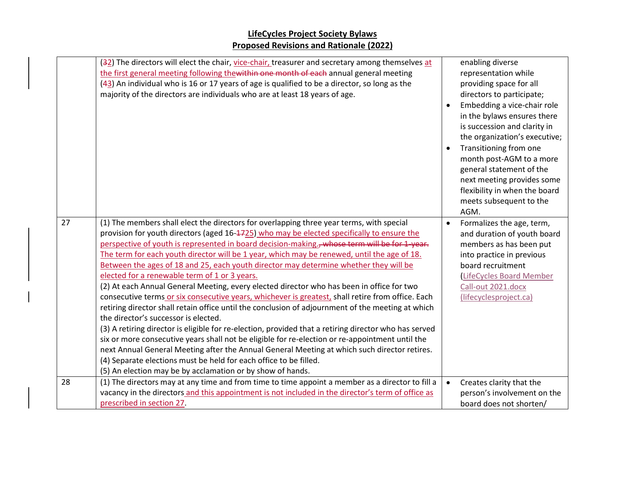|    | (32) The directors will elect the chair, vice-chair, treasurer and secretary among themselves at<br>the first general meeting following thewithin one month of each annual general meeting<br>(43) An individual who is 16 or 17 years of age is qualified to be a director, so long as the<br>majority of the directors are individuals who are at least 18 years of age.                                                                                                                                                                                                                                                                                                                                                                                                                                                                                                                                                                                                                                                                                                                                                                                                                                                                                                                                                     |           | enabling diverse<br>representation while<br>providing space for all<br>directors to participate;<br>Embedding a vice-chair role<br>in the bylaws ensures there<br>is succession and clarity in<br>the organization's executive;<br>Transitioning from one<br>month post-AGM to a more<br>general statement of the<br>next meeting provides some<br>flexibility in when the board<br>meets subsequent to the<br>AGM. |
|----|--------------------------------------------------------------------------------------------------------------------------------------------------------------------------------------------------------------------------------------------------------------------------------------------------------------------------------------------------------------------------------------------------------------------------------------------------------------------------------------------------------------------------------------------------------------------------------------------------------------------------------------------------------------------------------------------------------------------------------------------------------------------------------------------------------------------------------------------------------------------------------------------------------------------------------------------------------------------------------------------------------------------------------------------------------------------------------------------------------------------------------------------------------------------------------------------------------------------------------------------------------------------------------------------------------------------------------|-----------|---------------------------------------------------------------------------------------------------------------------------------------------------------------------------------------------------------------------------------------------------------------------------------------------------------------------------------------------------------------------------------------------------------------------|
| 27 | (1) The members shall elect the directors for overlapping three year terms, with special<br>provision for youth directors (aged 16-1725) who may be elected specifically to ensure the<br>perspective of youth is represented in board decision-making., whose term will be for 1-year.<br>The term for each youth director will be 1 year, which may be renewed, until the age of 18.<br>Between the ages of 18 and 25, each youth director may determine whether they will be<br>elected for a renewable term of 1 or 3 years.<br>(2) At each Annual General Meeting, every elected director who has been in office for two<br>consecutive terms or six consecutive years, whichever is greatest, shall retire from office. Each<br>retiring director shall retain office until the conclusion of adjournment of the meeting at which<br>the director's successor is elected.<br>(3) A retiring director is eligible for re-election, provided that a retiring director who has served<br>six or more consecutive years shall not be eligible for re-election or re-appointment until the<br>next Annual General Meeting after the Annual General Meeting at which such director retires.<br>(4) Separate elections must be held for each office to be filled.<br>(5) An election may be by acclamation or by show of hands. | $\bullet$ | Formalizes the age, term,<br>and duration of youth board<br>members as has been put<br>into practice in previous<br>board recruitment<br>LifeCycles Board Member<br>Call-out 2021.docx<br>(lifecyclesproject.ca)                                                                                                                                                                                                    |
| 28 | (1) The directors may at any time and from time to time appoint a member as a director to fill a<br>vacancy in the directors and this appointment is not included in the director's term of office as<br>prescribed in section 27.                                                                                                                                                                                                                                                                                                                                                                                                                                                                                                                                                                                                                                                                                                                                                                                                                                                                                                                                                                                                                                                                                             | $\bullet$ | Creates clarity that the<br>person's involvement on the<br>board does not shorten/                                                                                                                                                                                                                                                                                                                                  |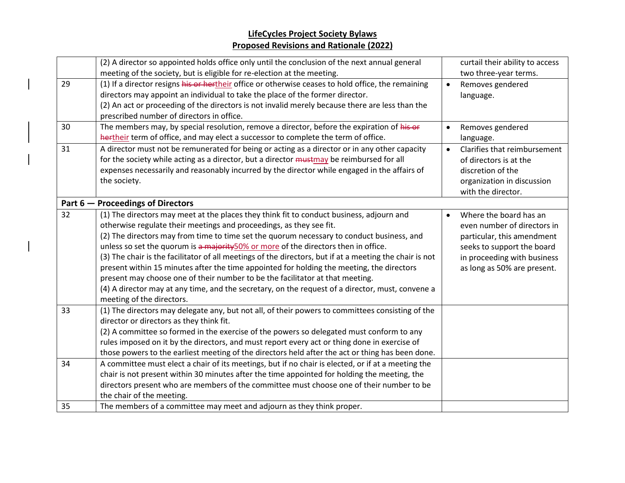|    | (2) A director so appointed holds office only until the conclusion of the next annual general           |           | curtail their ability to access |
|----|---------------------------------------------------------------------------------------------------------|-----------|---------------------------------|
|    | meeting of the society, but is eligible for re-election at the meeting.                                 |           | two three-year terms.           |
| 29 | (1) If a director resigns his or hertheir office or otherwise ceases to hold office, the remaining      | $\bullet$ | Removes gendered                |
|    | directors may appoint an individual to take the place of the former director.                           |           | language.                       |
|    | (2) An act or proceeding of the directors is not invalid merely because there are less than the         |           |                                 |
|    | prescribed number of directors in office.                                                               |           |                                 |
| 30 | The members may, by special resolution, remove a director, before the expiration of his or              |           | Removes gendered                |
|    | hertheir term of office, and may elect a successor to complete the term of office.                      |           | language.                       |
| 31 | A director must not be remunerated for being or acting as a director or in any other capacity           |           | Clarifies that reimbursement    |
|    | for the society while acting as a director, but a director mustmay be reimbursed for all                |           | of directors is at the          |
|    | expenses necessarily and reasonably incurred by the director while engaged in the affairs of            |           | discretion of the               |
|    | the society.                                                                                            |           | organization in discussion      |
|    |                                                                                                         |           | with the director.              |
|    | Part 6 - Proceedings of Directors                                                                       |           |                                 |
| 32 | (1) The directors may meet at the places they think fit to conduct business, adjourn and                |           | Where the board has an          |
|    | otherwise regulate their meetings and proceedings, as they see fit.                                     |           | even number of directors in     |
|    | (2) The directors may from time to time set the quorum necessary to conduct business, and               |           | particular, this amendment      |
|    | unless so set the quorum is a majority 50% or more of the directors then in office.                     |           | seeks to support the board      |
|    | (3) The chair is the facilitator of all meetings of the directors, but if at a meeting the chair is not |           | in proceeding with business     |
|    | present within 15 minutes after the time appointed for holding the meeting, the directors               |           | as long as 50% are present.     |
|    | present may choose one of their number to be the facilitator at that meeting.                           |           |                                 |
|    | (4) A director may at any time, and the secretary, on the request of a director, must, convene a        |           |                                 |
|    | meeting of the directors.                                                                               |           |                                 |
| 33 | (1) The directors may delegate any, but not all, of their powers to committees consisting of the        |           |                                 |
|    | director or directors as they think fit.                                                                |           |                                 |
|    | (2) A committee so formed in the exercise of the powers so delegated must conform to any                |           |                                 |
|    | rules imposed on it by the directors, and must report every act or thing done in exercise of            |           |                                 |
|    | those powers to the earliest meeting of the directors held after the act or thing has been done.        |           |                                 |
| 34 | A committee must elect a chair of its meetings, but if no chair is elected, or if at a meeting the      |           |                                 |
|    | chair is not present within 30 minutes after the time appointed for holding the meeting, the            |           |                                 |
|    | directors present who are members of the committee must choose one of their number to be                |           |                                 |
|    | the chair of the meeting.                                                                               |           |                                 |
| 35 | The members of a committee may meet and adjourn as they think proper.                                   |           |                                 |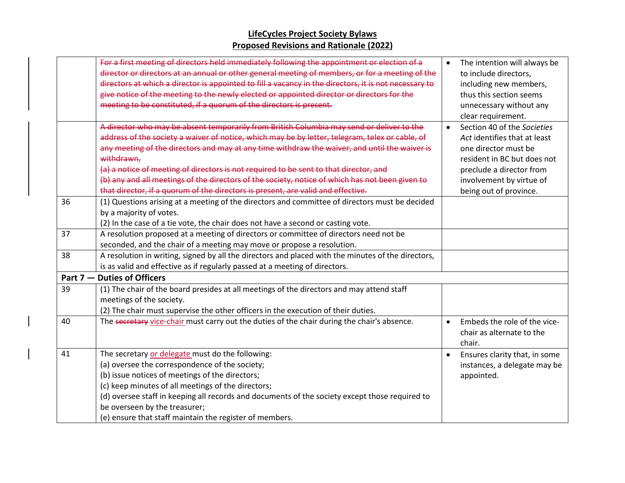|    | For a first meeting of directors held immediately following the appointment or election of a          |           | The intention will always be  |
|----|-------------------------------------------------------------------------------------------------------|-----------|-------------------------------|
|    | director or directors at an annual or other general meeting of members, or for a meeting of the       |           | to include directors,         |
|    | directors at which a director is appointed to fill a vacancy in the directors, it is not necessary to |           | including new members,        |
|    | give notice of the meeting to the newly elected or appointed director or directors for the            |           | thus this section seems       |
|    | meeting to be constituted, if a quorum of the directors is present.                                   |           | unnecessary without any       |
|    |                                                                                                       |           | clear requirement.            |
|    | A director who may be absent temporarily from British Columbia may send or deliver to the             | $\bullet$ | Section 40 of the Societies   |
|    | address of the society a waiver of notice, which may be by letter, telegram, telex or cable, of       |           | Act identifies that at least  |
|    | any meeting of the directors and may at any time withdraw the waiver, and until the waiver is         |           | one director must be          |
|    | withdrawn,                                                                                            |           | resident in BC but does not   |
|    | (a) a notice of meeting of directors is not required to be sent to that director, and                 |           | preclude a director from      |
|    | (b) any and all meetings of the directors of the society, notice of which has not been given to       |           | involvement by virtue of      |
|    | that director, if a quorum of the directors is present, are valid and effective.                      |           | being out of province.        |
| 36 | (1) Questions arising at a meeting of the directors and committee of directors must be decided        |           |                               |
|    | by a majority of votes.                                                                               |           |                               |
|    | (2) In the case of a tie vote, the chair does not have a second or casting vote.                      |           |                               |
| 37 | A resolution proposed at a meeting of directors or committee of directors need not be                 |           |                               |
|    | seconded, and the chair of a meeting may move or propose a resolution.                                |           |                               |
| 38 | A resolution in writing, signed by all the directors and placed with the minutes of the directors,    |           |                               |
|    | is as valid and effective as if regularly passed at a meeting of directors.                           |           |                               |
|    | Part 7 - Duties of Officers                                                                           |           |                               |
| 39 | (1) The chair of the board presides at all meetings of the directors and may attend staff             |           |                               |
|    | meetings of the society.                                                                              |           |                               |
|    | (2) The chair must supervise the other officers in the execution of their duties.                     |           |                               |
| 40 | The secretary vice-chair must carry out the duties of the chair during the chair's absence.           | $\bullet$ | Embeds the role of the vice-  |
|    |                                                                                                       |           | chair as alternate to the     |
|    |                                                                                                       |           | chair.                        |
| 41 | The secretary or delegate must do the following:                                                      |           | Ensures clarity that, in some |
|    | (a) oversee the correspondence of the society;                                                        |           | instances, a delegate may be  |
|    | (b) issue notices of meetings of the directors;                                                       |           | appointed.                    |
|    | (c) keep minutes of all meetings of the directors;                                                    |           |                               |
|    | (d) oversee staff in keeping all records and documents of the society except those required to        |           |                               |
|    | be overseen by the treasurer;                                                                         |           |                               |
|    | (e) ensure that staff maintain the register of members.                                               |           |                               |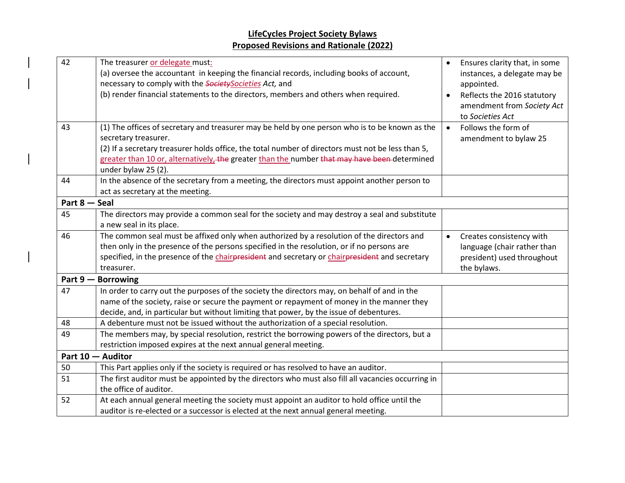$\overline{\phantom{a}}$ 

| 42            | The treasurer or delegate must:<br>(a) oversee the accountant in keeping the financial records, including books of account,<br>necessary to comply with the Society Societies Act, and<br>(b) render financial statements to the directors, members and others when required.                                                                      | $\bullet$<br>$\bullet$ | Ensures clarity that, in some<br>instances, a delegate may be<br>appointed.<br>Reflects the 2016 statutory<br>amendment from Society Act<br>to Societies Act |
|---------------|----------------------------------------------------------------------------------------------------------------------------------------------------------------------------------------------------------------------------------------------------------------------------------------------------------------------------------------------------|------------------------|--------------------------------------------------------------------------------------------------------------------------------------------------------------|
| 43            | (1) The offices of secretary and treasurer may be held by one person who is to be known as the<br>secretary treasurer.<br>(2) If a secretary treasurer holds office, the total number of directors must not be less than 5,<br>greater than 10 or, alternatively, the greater than the number that may have been determined<br>under bylaw 25 (2). | $\bullet$              | Follows the form of<br>amendment to bylaw 25                                                                                                                 |
| 44            | In the absence of the secretary from a meeting, the directors must appoint another person to<br>act as secretary at the meeting.                                                                                                                                                                                                                   |                        |                                                                                                                                                              |
| Part 8 - Seal |                                                                                                                                                                                                                                                                                                                                                    |                        |                                                                                                                                                              |
| 45            | The directors may provide a common seal for the society and may destroy a seal and substitute<br>a new seal in its place.                                                                                                                                                                                                                          |                        |                                                                                                                                                              |
| 46            | The common seal must be affixed only when authorized by a resolution of the directors and<br>then only in the presence of the persons specified in the resolution, or if no persons are<br>specified, in the presence of the chairpresident and secretary or chairpresident and secretary<br>treasurer.                                            | $\bullet$              | Creates consistency with<br>language (chair rather than<br>president) used throughout<br>the bylaws.                                                         |
|               | Part 9 - Borrowing                                                                                                                                                                                                                                                                                                                                 |                        |                                                                                                                                                              |
| 47            | In order to carry out the purposes of the society the directors may, on behalf of and in the<br>name of the society, raise or secure the payment or repayment of money in the manner they<br>decide, and, in particular but without limiting that power, by the issue of debentures.                                                               |                        |                                                                                                                                                              |
| 48            | A debenture must not be issued without the authorization of a special resolution.                                                                                                                                                                                                                                                                  |                        |                                                                                                                                                              |
| 49            | The members may, by special resolution, restrict the borrowing powers of the directors, but a<br>restriction imposed expires at the next annual general meeting.                                                                                                                                                                                   |                        |                                                                                                                                                              |
|               | Part 10 - Auditor                                                                                                                                                                                                                                                                                                                                  |                        |                                                                                                                                                              |
| 50            | This Part applies only if the society is required or has resolved to have an auditor.                                                                                                                                                                                                                                                              |                        |                                                                                                                                                              |
| 51            | The first auditor must be appointed by the directors who must also fill all vacancies occurring in<br>the office of auditor.                                                                                                                                                                                                                       |                        |                                                                                                                                                              |
| 52            | At each annual general meeting the society must appoint an auditor to hold office until the<br>auditor is re-elected or a successor is elected at the next annual general meeting.                                                                                                                                                                 |                        |                                                                                                                                                              |